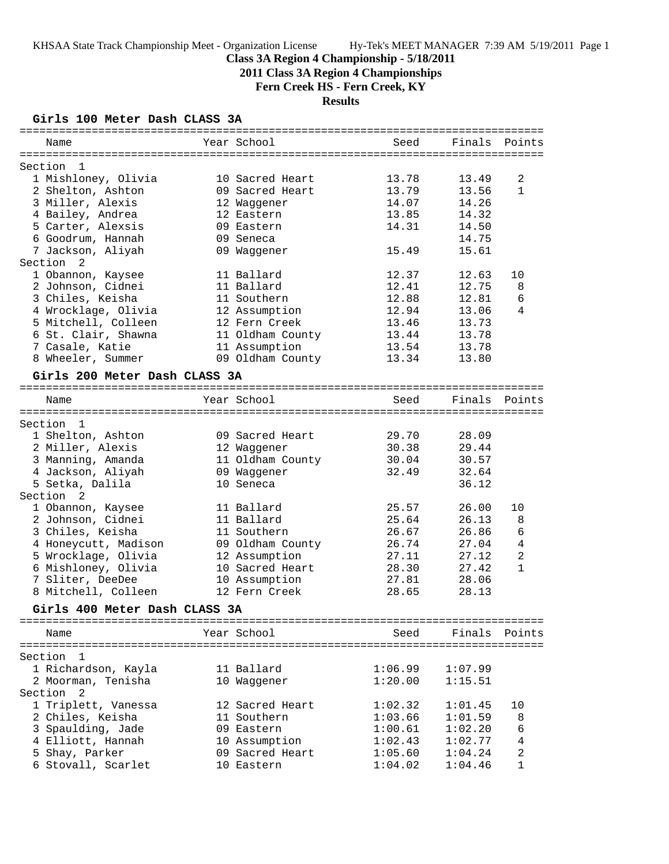# **Class 3A Region 4 Championship - 5/18/2011**

**2011 Class 3A Region 4 Championships**

**Fern Creek HS - Fern Creek, KY**

# **Results**

### **Girls 100 Meter Dash CLASS 3A**

| Name                                                        | Year School                           | Seed    | Finals        | Points         |
|-------------------------------------------------------------|---------------------------------------|---------|---------------|----------------|
|                                                             |                                       |         |               |                |
| Section<br>$\mathbf{1}$                                     |                                       |         |               |                |
| 1 Mishloney, Olivia                                         | 10 Sacred Heart                       | 13.78   | 13.49         | 2              |
| 2 Shelton, Ashton                                           | 09 Sacred Heart                       | 13.79   | 13.56         | $\mathbf{1}$   |
| 3 Miller, Alexis                                            | 12 Waggener                           | 14.07   | 14.26         |                |
| 4 Bailey, Andrea                                            | 12 Eastern                            | 13.85   | 14.32         |                |
| 5 Carter, Alexsis                                           | 09 Eastern                            | 14.31   | 14.50         |                |
| 6 Goodrum, Hannah                                           | 09 Seneca                             |         | 14.75         |                |
| 7 Jackson, Aliyah                                           | 09 Waggener                           | 15.49   | 15.61         |                |
| Section<br>2                                                |                                       |         |               |                |
| 1 Obannon, Kaysee                                           | 11 Ballard                            | 12.37   | 12.63         | 10             |
| 2 Johnson, Cidnei                                           | 11 Ballard                            | 12.41   | 12.75         | 8              |
| 3 Chiles, Keisha                                            | 11 Southern                           | 12.88   | 12.81         | 6              |
| 4 Wrocklage, Olivia                                         | 12 Assumption                         | 12.94   | 13.06         | 4              |
| 5 Mitchell, Colleen                                         | 12 Fern Creek                         | 13.46   | 13.73         |                |
| 6 St. Clair, Shawna                                         | 11 Oldham County                      | 13.44   | 13.78         |                |
| 7 Casale, Katie                                             | 11 Assumption                         | 13.54   | 13.78         |                |
| 8 Wheeler, Summer                                           | 09 Oldham County                      | 13.34   | 13.80         |                |
| Girls 200 Meter Dash CLASS 3A                               |                                       |         |               |                |
|                                                             |                                       |         |               |                |
| Name                                                        | Year School                           | Seed    | Finals Points |                |
|                                                             |                                       |         |               |                |
| Section<br>$\mathbf{1}$                                     |                                       |         |               |                |
| 1 Shelton, Ashton                                           | 09 Sacred Heart                       | 29.70   | 28.09         |                |
| 2 Miller, Alexis                                            | 12 Waggener                           | 30.38   | 29.44         |                |
| 3 Manning, Amanda                                           | 11 Oldham County                      | 30.04   | 30.57         |                |
| 4 Jackson, Aliyah                                           | 09 Waggener                           | 32.49   | 32.64         |                |
| 5 Setka, Dalila                                             | 10 Seneca                             |         | 36.12         |                |
| Section<br>2                                                |                                       |         |               |                |
| 1 Obannon, Kaysee                                           | 11 Ballard                            | 25.57   | 26.00         | 10             |
| 2 Johnson, Cidnei                                           | 11 Ballard                            | 25.64   | 26.13         | 8              |
| 3 Chiles, Keisha                                            | 11 Southern                           | 26.67   | 26.86         | 6              |
| 4 Honeycutt, Madison                                        | 09 Oldham County                      | 26.74   | 27.04         | 4              |
| 5 Wrocklage, Olivia                                         | 12 Assumption                         | 27.11   | 27.12         | 2              |
| 6 Mishloney, Olivia                                         | 10 Sacred Heart                       | 28.30   | 27.42         | $\mathbf{1}$   |
| 7 Sliter, DeeDee                                            | 10 Assumption                         | 27.81   | 28.06         |                |
| 8 Mitchell, Colleen                                         | 12 Fern Creek                         | 28.65   | 28.13         |                |
| Girls 400 Meter Dash CLASS 3A                               |                                       |         |               |                |
|                                                             | ===================================== |         |               | ============== |
| Name                                                        | Year School                           | Seed    | Finals        | Points         |
| ===============<br>=======================<br>Section<br>-1 |                                       |         |               |                |
| 1 Richardson, Kayla                                         | 11 Ballard                            | 1:06.99 | 1:07.99       |                |
| 2 Moorman, Tenisha                                          | 10 Waggener                           | 1:20.00 | 1:15.51       |                |
| Section<br>2                                                |                                       |         |               |                |
| 1 Triplett, Vanessa                                         | 12 Sacred Heart                       | 1:02.32 | 1:01.45       | 10             |
| 2 Chiles, Keisha                                            | 11 Southern                           | 1:03.66 | 1:01.59       | 8              |
| 3 Spaulding, Jade                                           | 09 Eastern                            | 1:00.61 | 1:02.20       | 6              |
| 4 Elliott, Hannah                                           | 10 Assumption                         | 1:02.43 | 1:02.77       | 4              |
| 5 Shay, Parker                                              | 09 Sacred Heart                       | 1:05.60 | 1:04.24       | 2              |
| 6 Stovall, Scarlet                                          |                                       |         |               | 1              |
|                                                             | 10 Eastern                            | 1:04.02 | 1:04.46       |                |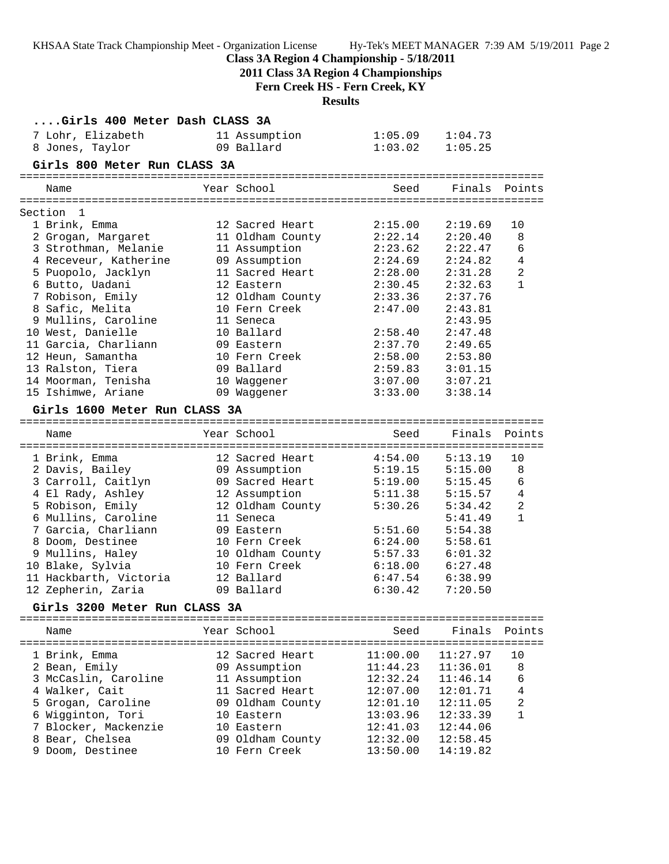| KHSAA State Track Championship Meet - Organization License Hy-Tek's MEET MANAGER 7:39 AM 5/19/2011 Page 2<br>Class 3A Region 4 Championship - 5/18/2011<br>2011 Class 3A Region 4 Championships<br>Fern Creek HS - Fern Creek, KY<br><b>Results</b> |                             |                                  |                          |                                                                           |              |  |
|-----------------------------------------------------------------------------------------------------------------------------------------------------------------------------------------------------------------------------------------------------|-----------------------------|----------------------------------|--------------------------|---------------------------------------------------------------------------|--------------|--|
| Girls 400 Meter Dash CLASS 3A                                                                                                                                                                                                                       |                             |                                  |                          |                                                                           |              |  |
| 7 Lohr, Elizabeth                                                                                                                                                                                                                                   | 11 Assumption               |                                  | 1:05.09                  | 1:04.73                                                                   |              |  |
| 8 Jones, Taylor                                                                                                                                                                                                                                     | 09 Ballard                  |                                  | 1:03.02                  | 1:05.25                                                                   |              |  |
| Girls 800 Meter Run CLASS 3A                                                                                                                                                                                                                        |                             |                                  |                          |                                                                           |              |  |
| Name                                                                                                                                                                                                                                                | Year School                 |                                  | Seed                     | Finals Points                                                             |              |  |
| Section 1                                                                                                                                                                                                                                           |                             |                                  |                          |                                                                           |              |  |
| 1 Brink, Emma                                                                                                                                                                                                                                       | 12 Sacred Heart             |                                  | 2:15.00                  | 2:19.69                                                                   | 10           |  |
| 2 Grogan, Margaret 11 Oldham County 2:22.14                                                                                                                                                                                                         |                             |                                  |                          | 2:20.40                                                                   | 8            |  |
| 3 Strothman, Melanie 11 Assumption                                                                                                                                                                                                                  |                             |                                  | 2:23.62                  | 2:22.47                                                                   | 6            |  |
| 4 Receveur, Katherine                                                                                                                                                                                                                               |                             | 09 Assumption                    | 2:24.69                  | 2:24.82                                                                   | 4            |  |
| 5 Puopolo, Jacklyn                                                                                                                                                                                                                                  |                             | 11 Sacred Heart                  | 2:28.00                  | 2:31.28                                                                   | 2            |  |
| 6 Butto, Uadani                                                                                                                                                                                                                                     | 12 Eastern                  |                                  | 2:30.45                  | 2:32.63                                                                   | $\mathbf{1}$ |  |
| 7 Robison, Emily                                                                                                                                                                                                                                    |                             |                                  | 12 Oldham County 2:33.36 | 2:37.76                                                                   |              |  |
| 8 Safic, Melita                                                                                                                                                                                                                                     | 10 Fern Creek               |                                  | 2:47.00                  | 2:43.81                                                                   |              |  |
| 9 Mullins, Caroline                                                                                                                                                                                                                                 | 11 Seneca                   |                                  |                          | 2:43.95                                                                   |              |  |
| 10 West, Danielle                                                                                                                                                                                                                                   | 10 Ballard                  |                                  | 2:58.40                  | 2:47.48<br>2:49.65                                                        |              |  |
| 11 Garcia, Charliann<br>12 Heun, Samantha                                                                                                                                                                                                           | 09 Eastern<br>10 Fern Creek |                                  | 2:37.70<br>2:58.00       | 2:53.80                                                                   |              |  |
| 13 Ralston, Tiera                                                                                                                                                                                                                                   | 09 Ballard                  |                                  | 2:59.83                  | 3:01.15                                                                   |              |  |
| 14 Moorman, Tenisha                                                                                                                                                                                                                                 |                             | 10 Waggener                      | 3:07.00                  | 3:07.21                                                                   |              |  |
| 15 Ishimwe, Ariane                                                                                                                                                                                                                                  |                             | 09 Waggener                      | 3:33.00                  | 3:38.14                                                                   |              |  |
| Girls 1600 Meter Run CLASS 3A                                                                                                                                                                                                                       |                             |                                  |                          |                                                                           |              |  |
| Name                                                                                                                                                                                                                                                | Year School                 |                                  | Seed                     | Finals                                                                    | Points       |  |
| 1 Brink, Emma                                                                                                                                                                                                                                       | 12 Sacred Heart             |                                  | 4:54.00                  | 5:13.19                                                                   | 10           |  |
| 2 Davis, Bailey                                                                                                                                                                                                                                     |                             | 09 Assumption                    |                          |                                                                           | 8            |  |
|                                                                                                                                                                                                                                                     |                             |                                  |                          |                                                                           | 6            |  |
| 3 Carroll, Caitlyn<br>4 El Rady, Ashley                                                                                                                                                                                                             |                             | 09 Sacred Heart<br>12 Assumption |                          | 5:19.15    5:15.00<br>5:19.00    5:15.45<br>5:11.38    5:15.57<br>5:15.57 | $\bf{4}$     |  |
| 5 Robison, Emily                                                                                                                                                                                                                                    |                             |                                  | 12 Oldham County 5:30.26 | 5:34.42                                                                   | 2            |  |
| 6 Mullins, Caroline                                                                                                                                                                                                                                 | 11 Seneca                   |                                  |                          | 5:41.49                                                                   | $\mathbf 1$  |  |
| 7 Garcia, Charliann                                                                                                                                                                                                                                 | 09 Eastern                  |                                  | 5:51.60                  | 5:54.38                                                                   |              |  |
| 8 Doom, Destinee                                                                                                                                                                                                                                    | 10 Fern Creek               |                                  | 6:24.00                  | 5:58.61                                                                   |              |  |
| 9 Mullins, Haley                                                                                                                                                                                                                                    |                             | 10 Oldham County                 | 5:57.33                  | 6:01.32                                                                   |              |  |
| 10 Blake, Sylvia                                                                                                                                                                                                                                    |                             | 10 Fern Creek                    | 6:18.00                  | 6:27.48                                                                   |              |  |
| 11 Hackbarth, Victoria                                                                                                                                                                                                                              | 12 Ballard                  |                                  | 6:47.54                  | 6:38.99                                                                   |              |  |
| 12 Zepherin, Zaria                                                                                                                                                                                                                                  | 09 Ballard                  |                                  | 6:30.42                  | 7:20.50                                                                   |              |  |
| Girls 3200 Meter Run CLASS 3A                                                                                                                                                                                                                       |                             |                                  |                          |                                                                           |              |  |
| Name                                                                                                                                                                                                                                                | Year School                 |                                  | Seed                     | Finals                                                                    | Points       |  |
| 1 Brink, Emma                                                                                                                                                                                                                                       |                             | 12 Sacred Heart                  | 11:00.00                 | 11:27.97                                                                  | 10           |  |
| 2 Bean, Emily                                                                                                                                                                                                                                       |                             | 09 Assumption                    | 11:44.23                 | 11:36.01                                                                  | 8            |  |
| 3 McCaslin, Caroline                                                                                                                                                                                                                                |                             | 11 Assumption                    | 12:32.24                 | 11:46.14                                                                  | 6            |  |
| 4 Walker, Cait                                                                                                                                                                                                                                      |                             | 11 Sacred Heart                  | 12:07.00                 | 12:01.71                                                                  | 4            |  |
| 5 Grogan, Caroline                                                                                                                                                                                                                                  |                             | 09 Oldham County                 | 12:01.10                 | 12:11.05                                                                  | 2            |  |
| 6 Wigginton, Tori                                                                                                                                                                                                                                   | 10 Eastern                  |                                  | 13:03.96                 | 12:33.39                                                                  | 1            |  |
| 7 Blocker, Mackenzie                                                                                                                                                                                                                                | 10 Eastern                  |                                  | 12:41.03                 | 12:44.06                                                                  |              |  |
| 8 Bear, Chelsea                                                                                                                                                                                                                                     |                             | 09 Oldham County                 | 12:32.00                 | 12:58.45                                                                  |              |  |
| 9 Doom, Destinee                                                                                                                                                                                                                                    | 10 Fern Creek               |                                  | 13:50.00                 | 14:19.82                                                                  |              |  |
|                                                                                                                                                                                                                                                     |                             |                                  |                          |                                                                           |              |  |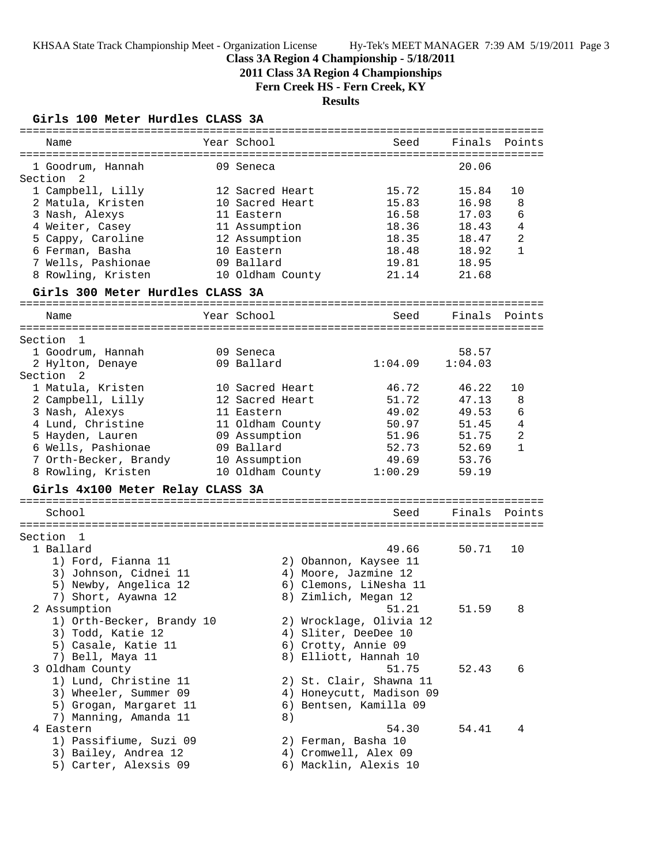# **Class 3A Region 4 Championship - 5/18/2011**

**2011 Class 3A Region 4 Championships**

**Fern Creek HS - Fern Creek, KY**

# **Results**

# **Girls 100 Meter Hurdles CLASS 3A**

| ===========================         |                  |                              |         |              |
|-------------------------------------|------------------|------------------------------|---------|--------------|
| Name                                | Year School      | Seed                         | Finals  | Points       |
|                                     |                  |                              |         |              |
| 1 Goodrum, Hannah<br>- 2<br>Section | 09 Seneca        |                              | 20.06   |              |
| 1 Campbell, Lilly                   | 12 Sacred Heart  | 15.72                        | 15.84   | 10           |
| 2 Matula, Kristen                   | 10 Sacred Heart  | 15.83                        | 16.98   | 8            |
| 3 Nash, Alexys                      | 11 Eastern       | 16.58                        | 17.03   | 6            |
| 4 Weiter, Casey                     | 11 Assumption    | 18.36                        | 18.43   | 4            |
| 5 Cappy, Caroline                   | 12 Assumption    | 18.35                        | 18.47   | 2            |
| 6 Ferman, Basha                     | 10 Eastern       | 18.48                        | 18.92   | $\mathbf{1}$ |
| 7 Wells, Pashionae                  | 09 Ballard       | 19.81                        | 18.95   |              |
| 8 Rowling, Kristen                  | 10 Oldham County | 21.14                        | 21.68   |              |
| Girls 300 Meter Hurdles CLASS 3A    |                  | ============================ |         |              |
| Name                                | Year School      | Seed                         | Finals  | Points       |
| Section<br>1                        |                  |                              |         |              |
| 1 Goodrum, Hannah                   | 09 Seneca        |                              | 58.57   |              |
| 2 Hylton, Denaye                    | 09 Ballard       | 1:04.09                      | 1:04.03 |              |
| Section<br>- 2                      |                  |                              |         |              |
| 1 Matula, Kristen                   | 10 Sacred Heart  | 46.72                        | 46.22   | 10           |
| 2 Campbell, Lilly                   | 12 Sacred Heart  | 51.72                        | 47.13   | 8            |
| 3 Nash, Alexys                      | 11 Eastern       | 49.02                        | 49.53   | 6            |
| 4 Lund, Christine                   | 11 Oldham County | 50.97                        | 51.45   | 4            |
| 5 Hayden, Lauren                    | 09 Assumption    | 51.96                        | 51.75   | 2            |
| 6 Wells, Pashionae                  | 09 Ballard       | 52.73                        | 52.69   | $\mathbf{1}$ |
| 7 Orth-Becker, Brandy               | 10 Assumption    | 49.69                        | 53.76   |              |
| 8 Rowling, Kristen                  | 10 Oldham County | 1:00.29                      | 59.19   |              |
| Girls 4x100 Meter Relay CLASS 3A    |                  |                              |         |              |
|                                     |                  |                              |         |              |
| School                              |                  | Seed                         | Finals  | Points       |
| Section<br>- 1                      |                  |                              |         |              |
| 1 Ballard                           |                  | 49.66                        | 50.71   | 10           |
| 1) Ford, Fianna 11                  |                  | 2) Obannon, Kaysee 11        |         |              |
| 3) Johnson, Cidnei 11               |                  | 4) Moore, Jazmine 12         |         |              |
| 5) Newby, Angelica 12               |                  | 6) Clemons, LiNesha 11       |         |              |
| 7) Short, Ayawna 12                 |                  | 8) Zimlich, Megan 12         |         |              |
| 2 Assumption                        |                  | 51.21                        | 51.59   | 8            |
| 1) Orth-Becker, Brandy 10           |                  | 2) Wrocklage, Olivia 12      |         |              |
| 3) Todd, Katie 12                   |                  | 4) Sliter, DeeDee 10         |         |              |
| 5) Casale, Katie 11                 |                  | 6) Crotty, Annie 09          |         |              |
| 7) Bell, Maya 11                    |                  | 8) Elliott, Hannah 10        |         |              |
| 3 Oldham County                     |                  | 51.75                        | 52.43   | 6            |
| 1) Lund, Christine 11               |                  | 2) St. Clair, Shawna 11      |         |              |
| 3) Wheeler, Summer 09               |                  | 4) Honeycutt, Madison 09     |         |              |
| 5) Grogan, Margaret 11              |                  | 6) Bentsen, Kamilla 09       |         |              |
| 7) Manning, Amanda 11               | 8)               |                              |         |              |
| 4 Eastern                           |                  | 54.30                        | 54.41   | 4            |
| 1) Passifiume, Suzi 09              |                  | 2) Ferman, Basha 10          |         |              |
| 3) Bailey, Andrea 12                |                  | 4) Cromwell, Alex 09         |         |              |
| 5) Carter, Alexsis 09               |                  | 6) Macklin, Alexis 10        |         |              |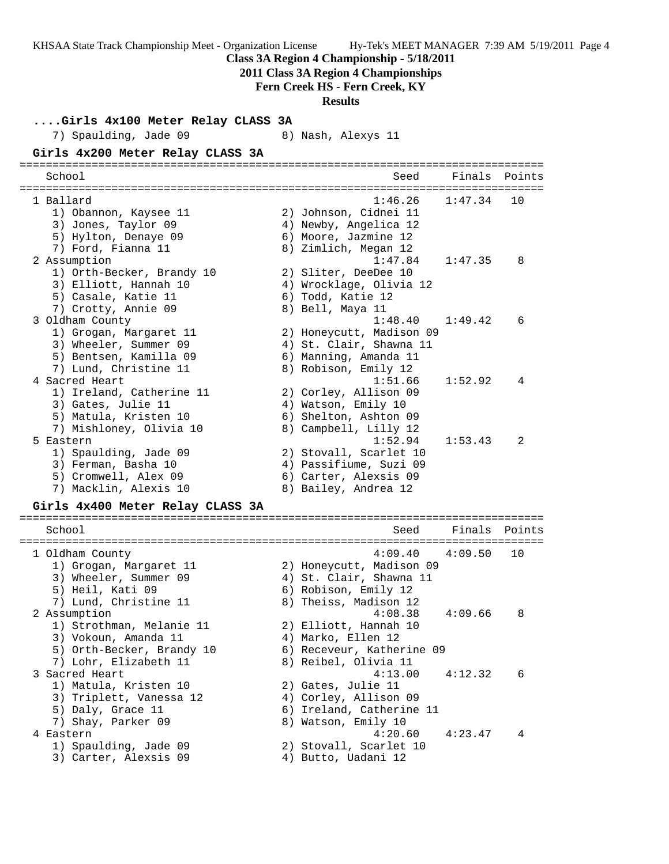| KHSAA State Track Championship Meet - Organization License Hy-Tek's MEET MANAGER 7:39 AM 5/19/2011 Page 4 | Class 3A Region 4 Championship - 5/18/2011<br>2011 Class 3A Region 4 Championships<br>Fern Creek HS - Fern Creek, KY<br><b>Results</b> |         |               |  |
|-----------------------------------------------------------------------------------------------------------|----------------------------------------------------------------------------------------------------------------------------------------|---------|---------------|--|
| Girls 4x100 Meter Relay CLASS 3A                                                                          |                                                                                                                                        |         |               |  |
| 7) Spaulding, Jade 09                                                                                     | 8) Nash, Alexys 11                                                                                                                     |         |               |  |
| Girls 4x200 Meter Relay CLASS 3A                                                                          |                                                                                                                                        |         |               |  |
|                                                                                                           |                                                                                                                                        |         |               |  |
| School                                                                                                    | Seed                                                                                                                                   |         | Finals Points |  |
|                                                                                                           |                                                                                                                                        |         |               |  |
| 1 Ballard                                                                                                 | 1:46.26                                                                                                                                | 1:47.34 | 10            |  |
| 1) Obannon, Kaysee 11                                                                                     | 2) Johnson, Cidnei 11                                                                                                                  |         |               |  |
| 3) Jones, Taylor 09                                                                                       | 4) Newby, Angelica 12                                                                                                                  |         |               |  |
| 5) Hylton, Denaye 09<br>7) Ford, Fianna 11                                                                | 6) Moore, Jazmine 12<br>8) Zimlich, Megan 12                                                                                           |         |               |  |
| 2 Assumption                                                                                              | 1:47.84                                                                                                                                | 1:47.35 | 8             |  |
| 1) Orth-Becker, Brandy 10                                                                                 | 2) Sliter, DeeDee 10                                                                                                                   |         |               |  |
| 3) Elliott, Hannah 10                                                                                     | 4) Wrocklage, Olivia 12                                                                                                                |         |               |  |
| 5) Casale, Katie 11                                                                                       | 6) Todd, Katie 12                                                                                                                      |         |               |  |
| 7) Crotty, Annie 09                                                                                       | 8) Bell, Maya 11                                                                                                                       |         |               |  |
| 3 Oldham County                                                                                           | 1:48.40                                                                                                                                | 1:49.42 | 6             |  |
| 1) Grogan, Margaret 11                                                                                    | 2) Honeycutt, Madison 09                                                                                                               |         |               |  |
| 3) Wheeler, Summer 09                                                                                     | 4) St. Clair, Shawna 11                                                                                                                |         |               |  |
| 5) Bentsen, Kamilla 09                                                                                    | 6) Manning, Amanda 11                                                                                                                  |         |               |  |
| 7) Lund, Christine 11                                                                                     | 8) Robison, Emily 12                                                                                                                   |         |               |  |
| 4 Sacred Heart<br>1) Ireland, Catherine 11                                                                | 1:51.66<br>2) Corley, Allison 09                                                                                                       | 1:52.92 | 4             |  |
| 3) Gates, Julie 11                                                                                        | 4) Watson, Emily 10                                                                                                                    |         |               |  |
| 5) Matula, Kristen 10                                                                                     | 6) Shelton, Ashton 09                                                                                                                  |         |               |  |
| 7) Mishloney, Olivia 10                                                                                   | 8) Campbell, Lilly 12                                                                                                                  |         |               |  |
| 5 Eastern                                                                                                 | 1:52.94                                                                                                                                | 1:53.43 | 2             |  |
| 1) Spaulding, Jade 09                                                                                     | 2) Stovall, Scarlet 10                                                                                                                 |         |               |  |
| 3) Ferman, Basha 10                                                                                       | 4) Passifiume, Suzi 09                                                                                                                 |         |               |  |
| 5) Cromwell, Alex 09                                                                                      | 6) Carter, Alexsis 09                                                                                                                  |         |               |  |
| 7) Macklin, Alexis 10                                                                                     | 8) Bailey, Andrea 12                                                                                                                   |         |               |  |
| Girls 4x400 Meter Relay CLASS 3A                                                                          |                                                                                                                                        |         |               |  |
|                                                                                                           |                                                                                                                                        |         |               |  |
| School                                                                                                    | Seed                                                                                                                                   | Finals  | Points        |  |
|                                                                                                           |                                                                                                                                        |         | ===========   |  |
| 1 Oldham County                                                                                           | 4:09.40                                                                                                                                | 4:09.50 | 10            |  |
| 1) Grogan, Margaret 11                                                                                    | 2) Honeycutt, Madison 09                                                                                                               |         |               |  |
| 3) Wheeler, Summer 09                                                                                     | 4) St. Clair, Shawna 11                                                                                                                |         |               |  |
| 5) Heil, Kati 09<br>7) Lund, Christine 11                                                                 | 6) Robison, Emily 12<br>8) Theiss, Madison 12                                                                                          |         |               |  |
| 2 Assumption                                                                                              | 4:08.38                                                                                                                                | 4:09.66 | 8             |  |
| 1) Strothman, Melanie 11                                                                                  | 2) Elliott, Hannah 10                                                                                                                  |         |               |  |
| 3) Vokoun, Amanda 11                                                                                      | 4) Marko, Ellen 12                                                                                                                     |         |               |  |
| 5) Orth-Becker, Brandy 10                                                                                 | 6) Receveur, Katherine 09                                                                                                              |         |               |  |
| 7) Lohr, Elizabeth 11                                                                                     | 8) Reibel, Olivia 11                                                                                                                   |         |               |  |
| 3 Sacred Heart                                                                                            | 4:13.00                                                                                                                                | 4:12.32 | 6             |  |
| 1) Matula, Kristen 10                                                                                     | 2) Gates, Julie 11                                                                                                                     |         |               |  |
| 3) Triplett, Vanessa 12                                                                                   | 4) Corley, Allison 09                                                                                                                  |         |               |  |
| 5) Daly, Grace 11                                                                                         | 6) Ireland, Catherine 11                                                                                                               |         |               |  |
| 7) Shay, Parker 09                                                                                        | 8) Watson, Emily 10                                                                                                                    |         |               |  |
| 4 Eastern<br>1) Spaulding, Jade 09                                                                        | 4:20.60<br>2) Stovall, Scarlet 10                                                                                                      | 4:23.47 | 4             |  |
| 3) Carter, Alexsis 09                                                                                     | 4) Butto, Uadani 12                                                                                                                    |         |               |  |
|                                                                                                           |                                                                                                                                        |         |               |  |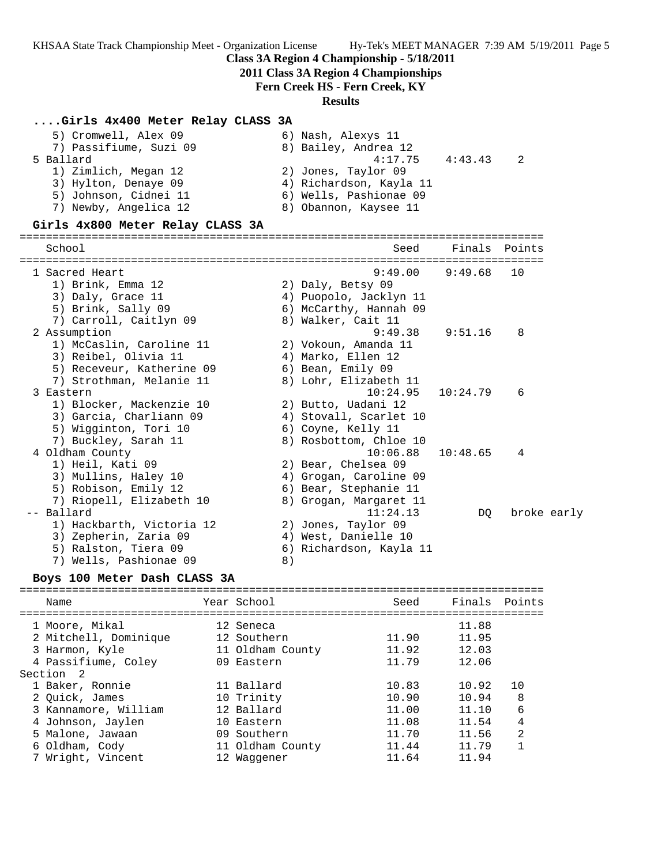### **Class 3A Region 4 Championship - 5/18/2011**

**2011 Class 3A Region 4 Championships**

### **Fern Creek HS - Fern Creek, KY**

#### **Results**

#### **....Girls 4x400 Meter Relay CLASS 3A**

| 5) Cromwell, Alex 09   | 6) Nash, Alexys 11         |  |
|------------------------|----------------------------|--|
| 7) Passifiume, Suzi 09 | 8) Bailey, Andrea 12       |  |
| 5 Ballard              | 4:43.43<br>4:17.75<br>- 2. |  |
| 1) Zimlich, Megan 12   | 2) Jones, Taylor 09        |  |
| 3) Hylton, Denaye 09   | 4) Richardson, Kayla 11    |  |
| 5) Johnson, Cidnei 11  | 6) Wells, Pashionae 09     |  |
| 7) Newby, Angelica 12  | 8) Obannon, Kaysee 11      |  |
|                        |                            |  |

#### **Girls 4x800 Meter Relay CLASS 3A**

================================================================================ School Seed Finals Points ================================================================================ 1 Sacred Heart 9:49.00 9:49.68 10 1) Brink, Emma 12 2) Daly, Betsy 09 3) Daly, Grace 11 4) Puopolo, Jacklyn 11 5) Brink, Sally 09 6) McCarthy, Hannah 09 7) Carroll, Caitlyn 09 8) Walker, Cait 11 2 Assumption 9:49.38 9:51.16 8 1) McCaslin, Caroline 11 2) Vokoun, Amanda 11 3) Reibel, Olivia 11 (4) Marko, Ellen 12 5) Receveur, Katherine 09 6) Bean, Emily 09 7) Strothman, Melanie 11 8) Lohr, Elizabeth 11 3 Eastern 10:24.95 10:24.79 6 1) Blocker, Mackenzie 10 2) Butto, Uadani 12 3) Garcia, Charliann 09 4) Stovall, Scarlet 10 5) Wigginton, Tori 10  $\hskip10mm$  6) Coyne, Kelly 11 7) Buckley, Sarah 11 8) Rosbottom, Chloe 10 4 Oldham County 10:06.88 10:48.65 4 1) Heil, Kati 09 2) Bear, Chelsea 09 3) Mullins, Haley 10 4) Grogan, Caroline 09 5) Robison, Emily 12 6) Bear, Stephanie 11 7) Riopell, Elizabeth 10 8) Grogan, Margaret 11 -- Ballard 11:24.13 DQ broke early 1) Hackbarth, Victoria 12 2) Jones, Taylor 09 3) Zepherin, Zaria 09 4) West, Danielle 10 5) Ralston, Tiera 09 6) Richardson, Kayla 11

7) Wells, Pashionae 09 8)

### **Boys 100 Meter Dash CLASS 3A**

================================================================================ Name Year School Seed Finals Points ================================================================================ 1 Moore, Mikal 12 Seneca 11.88 2 Mitchell, Dominique 12 Southern 11.90 11.95 3 Harmon, Kyle 11 Oldham County 11.92 12.03 4 Passifiume, Coley 09 Eastern 11.79 12.06 Section 2 1 Baker, Ronnie 11 Ballard 10.83 10.92 10 2 Quick, James 10 Trinity 10.90 10.94 8 3 Kannamore, William 12 Ballard 11.00 11.10 6 4 Johnson, Jaylen 10 Eastern 11.08 11.54 4 5 Malone, Jawaan 09 Southern 11.70 11.56 2 6 Oldham, Cody 11 Oldham County 11.44 11.79 1 7 Wright, Vincent 12 Waggener 11.64 11.94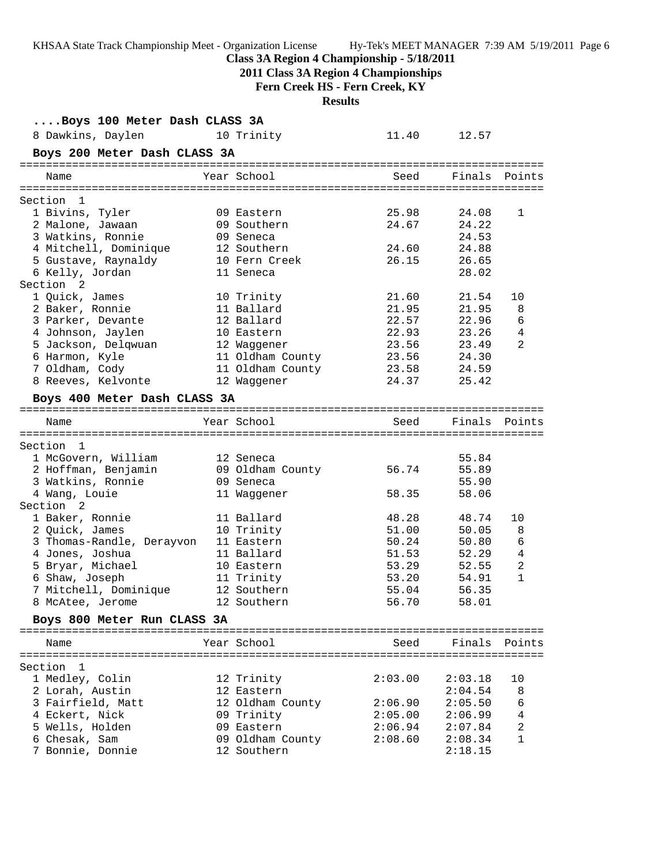**Class 3A Region 4 Championship - 5/18/2011**

**2011 Class 3A Region 4 Championships**

**Fern Creek HS - Fern Creek, KY**

**Results**

| Boys 100 Meter Dash CLASS 3A    |                  |         |                    |                |
|---------------------------------|------------------|---------|--------------------|----------------|
| 8 Dawkins, Daylen<br>10 Trinity |                  | 11.40   | 12.57              |                |
| Boys 200 Meter Dash CLASS 3A    |                  |         |                    |                |
| Name                            | Year School      |         | Seed Finals Points |                |
| Section 1                       |                  |         |                    |                |
| 1 Bivins, Tyler                 | 09 Eastern       | 25.98   | 24.08              | 1              |
| 2 Malone, Jawaan                | 09 Southern      | 24.67   | 24.22              |                |
| 3 Watkins, Ronnie               | 09 Seneca        |         | 24.53              |                |
| 4 Mitchell, Dominique           | 12 Southern      | 24.60   | 24.88              |                |
| 5 Gustave, Raynaldy             | 10 Fern Creek    | 26.15   | 26.65              |                |
| 6 Kelly, Jordan                 | 11 Seneca        |         | 28.02              |                |
| Section 2                       |                  |         |                    |                |
| 1 Quick, James                  | 10 Trinity       | 21.60   | 21.54              | 10             |
| 2 Baker, Ronnie                 | 11 Ballard       | 21.95   | 21.95              | 8              |
| 3 Parker, Devante               | 12 Ballard       | 22.57   | 22.96              | 6              |
| 4 Johnson, Jaylen               | 10 Eastern       | 22.93   | 23.26              | 4              |
| 5 Jackson, Delqwuan             | 12 Waggener      | 23.56   | 23.49              | 2              |
| 6 Harmon, Kyle                  | 11 Oldham County | 23.56   | 24.30              |                |
| 7 Oldham, Cody                  | 11 Oldham County | 23.58   | 24.59              |                |
| 8 Reeves, Kelvonte              | 12 Waggener      | 24.37   | 25.42              |                |
| Boys 400 Meter Dash CLASS 3A    |                  |         |                    |                |
| Name                            | Year School      | Seed    | Finals             | Points         |
|                                 |                  |         |                    |                |
| Section 1                       |                  |         |                    |                |
| 1 McGovern, William             | 12 Seneca        |         | 55.84              |                |
| 2 Hoffman, Benjamin             | 09 Oldham County | 56.74   | 55.89              |                |
| 3 Watkins, Ronnie               | 09 Seneca        |         | 55.90              |                |
| 4 Wang, Louie                   | 11 Waggener      | 58.35   | 58.06              |                |
| Section 2                       |                  |         |                    |                |
| 1 Baker, Ronnie                 | 11 Ballard       | 48.28   | 48.74              | 10             |
| 2 Quick, James                  | 10 Trinity       | 51.00   | 50.05              | 8              |
| 3 Thomas-Randle, Derayvon       | 11 Eastern       | 50.24   | 50.80              | 6              |
| 4 Jones, Joshua                 | 11 Ballard       | 51.53   | 52.29              | 4              |
| 5 Bryar, Michael                | 10 Eastern       | 53.29   | 52.55              | 2              |
| 6 Shaw, Joseph                  | 11 Trinity       | 53.20   | 54.91              | $\mathbf{1}$   |
| 7 Mitchell, Dominique           | 12 Southern      | 55.04   | 56.35              |                |
| 8 McAtee, Jerome                | 12 Southern      | 56.70   | 58.01              |                |
| Boys 800 Meter Run CLASS 3A     |                  |         |                    |                |
| Name                            | Year School      | Seed    | Finals             | Points         |
|                                 |                  |         |                    |                |
| Section 1                       |                  |         |                    |                |
| 1 Medley, Colin                 | 12 Trinity       | 2:03.00 | 2:03.18            | 10             |
| 2 Lorah, Austin                 | 12 Eastern       |         | 2:04.54            | 8              |
| 3 Fairfield, Matt               | 12 Oldham County | 2:06.90 | 2:05.50            | 6              |
| 4 Eckert, Nick                  | 09 Trinity       | 2:05.00 | 2:06.99            | 4              |
| 5 Wells, Holden                 | 09 Eastern       | 2:06.94 | 2:07.84            | $\overline{2}$ |
| 6 Chesak, Sam                   | 09 Oldham County | 2:08.60 | 2:08.34            | $\mathbf{1}$   |
| 7 Bonnie, Donnie                | 12 Southern      |         | 2:18.15            |                |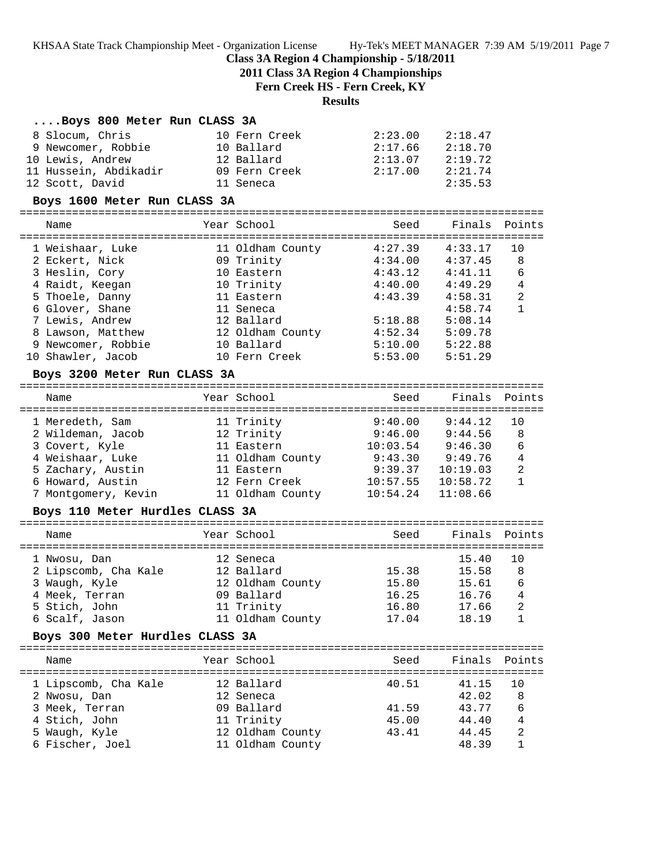### **Class 3A Region 4 Championship - 5/18/2011**

**2011 Class 3A Region 4 Championships**

**Fern Creek HS - Fern Creek, KY**

### **Results**

#### **....Boys 800 Meter Run CLASS 3A**

| 8 Slocum, Chris       | 10 Fern Creek | 2:23.00 | 2:18.47 |
|-----------------------|---------------|---------|---------|
| 9 Newcomer, Robbie    | 10 Ballard    | 2:17.66 | 2:18.70 |
| 10 Lewis, Andrew      | 12 Ballard    | 2:13.07 | 2:19.72 |
| 11 Hussein, Abdikadir | 09 Fern Creek | 2:17.00 | 2:21.74 |
| 12 Scott, David       | 11 Seneca     |         | 2:35.53 |

#### **Boys 1600 Meter Run CLASS 3A**

================================================================================ Name The Year School Seed Finals Points ================================================================================ 1 Weishaar, Luke 11 Oldham County 4:27.39 4:33.17 10 2 Eckert, Nick 09 Trinity 4:34.00 4:37.45 8 3 Heslin, Cory 10 Eastern 4:43.12 4:41.11 6 4 Raidt, Keegan 10 Trinity 4:40.00 4:49.29 4 5 Thoele, Danny 11 Eastern 4:43.39 4:58.31 2 6 Glover, Shane 11 Seneca 4:58.74 1 7 Lewis, Andrew 12 Ballard 5:18.88 5:08.14 8 Lawson, Matthew 12 Oldham County 4:52.34 5:09.78 9 Newcomer, Robbie 10 Ballard 5:10.00 5:22.88 10 Shawler, Jacob 10 Fern Creek 5:53.00 5:51.29

#### **Boys 3200 Meter Run CLASS 3A**

| Name                | Year School      | Seed     | Finals Points |    |
|---------------------|------------------|----------|---------------|----|
| 1 Meredeth, Sam     | 11 Trinity       | 9:40.00  | 9:44.12       | 10 |
| 2 Wildeman, Jacob   | 12 Trinity       | 9:46.00  | 9:44.56       | 8  |
| 3 Covert, Kyle      | 11 Eastern       | 10:03.54 | 9:46.30       | 6  |
| 4 Weishaar, Luke    | 11 Oldham County | 9:43.30  | 9:49.76       | 4  |
| 5 Zachary, Austin   | 11 Eastern       | 9:39.37  | 10:19.03      | 2  |
| 6 Howard, Austin    | 12 Fern Creek    | 10:57.55 | 10:58.72      | 1  |
| 7 Montgomery, Kevin | 11 Oldham County | 10:54.24 | 11:08.66      |    |
|                     |                  |          |               |    |

#### **Boys 110 Meter Hurdles CLASS 3A**

| Name                 | Year School      | Seed  | Finals Points |                |
|----------------------|------------------|-------|---------------|----------------|
| 1 Nwosu, Dan         | 12 Seneca        |       | 15.40         | 10             |
| 2 Lipscomb, Cha Kale | 12 Ballard       | 15.38 | 15.58         | 8              |
| 3 Waugh, Kyle        | 12 Oldham County | 15.80 | 15.61         | 6              |
| 4 Meek, Terran       | 09 Ballard       | 16.25 | 16.76         | $\overline{4}$ |
| 5 Stich, John        | 11 Trinity       | 16.80 | 17.66         | 2              |
| 6 Scalf, Jason       | 11 Oldham County | 17.04 | 18.19         |                |
|                      |                  |       |               |                |

### **Boys 300 Meter Hurdles CLASS 3A**

| Name                 | Year School |                  | Seed  | Finals Points |    |
|----------------------|-------------|------------------|-------|---------------|----|
| 1 Lipscomb, Cha Kale | 12 Ballard  |                  | 40.51 | 41.15         | 10 |
| 2 Nwosu, Dan         | 12 Seneca   |                  |       | 42.02         | 8  |
| 3 Meek, Terran       | 09 Ballard  |                  | 41.59 | 43.77         | 6  |
| 4 Stich, John        | 11 Trinity  |                  | 45.00 | 44.40         | 4  |
| 5 Waugh, Kyle        |             | 12 Oldham County | 43.41 | 44.45         | 2  |
| 6 Fischer, Joel      |             | 11 Oldham County |       | 48.39         |    |
|                      |             |                  |       |               |    |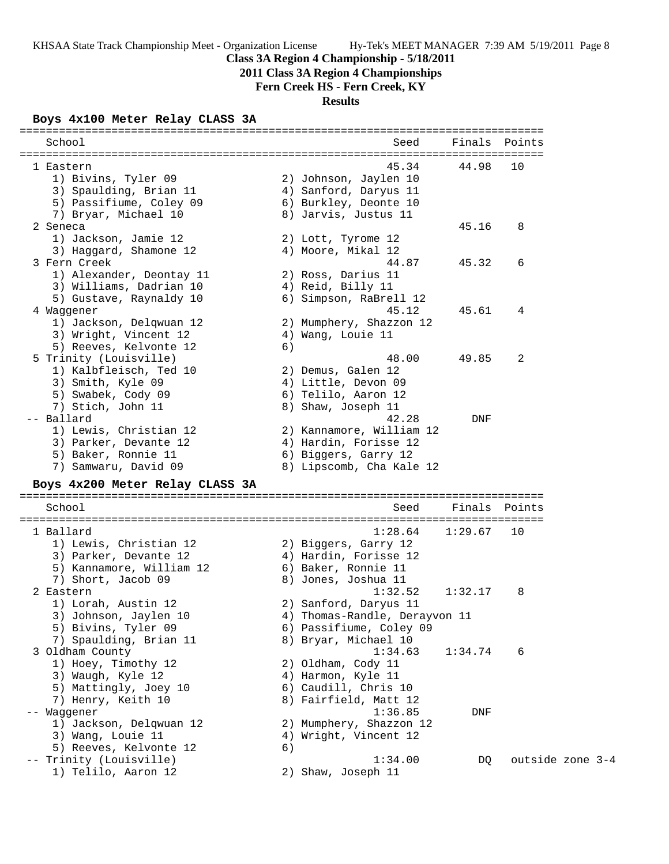# **Class 3A Region 4 Championship - 5/18/2011**

**2011 Class 3A Region 4 Championships**

# **Fern Creek HS - Fern Creek, KY**

**Results**

# **Boys 4x100 Meter Relay CLASS 3A**

| School                                           |    | Seed                          | Finals  | Points           |
|--------------------------------------------------|----|-------------------------------|---------|------------------|
| l Eastern                                        |    | 45.34                         | 44.98   | 10               |
| 1) Bivins, Tyler 09                              |    | 2) Johnson, Jaylen 10         |         |                  |
| 3) Spaulding, Brian 11                           |    | 4) Sanford, Daryus 11         |         |                  |
| 5) Passifiume, Coley 09                          |    | 6) Burkley, Deonte 10         |         |                  |
| 7) Bryar, Michael 10                             |    | 8) Jarvis, Justus 11          |         |                  |
| 2 Seneca                                         |    |                               | 45.16   | 8                |
| 1) Jackson, Jamie 12                             |    | 2) Lott, Tyrome 12            |         |                  |
| 3) Haggard, Shamone 12                           |    | 4) Moore, Mikal 12            |         |                  |
| 3 Fern Creek                                     |    | 44.87                         | 45.32   | 6                |
| 1) Alexander, Deontay 11                         |    | 2) Ross, Darius 11            |         |                  |
| 3) Williams, Dadrian 10                          |    | 4) Reid, Billy 11             |         |                  |
| 5) Gustave, Raynaldy 10                          |    | 6) Simpson, RaBrell 12        |         |                  |
| 4 Waggener                                       |    | 45.12                         | 45.61   | 4                |
| 1) Jackson, Delqwuan 12<br>3) Wright, Vincent 12 |    | 2) Mumphery, Shazzon 12       |         |                  |
| 5) Reeves, Kelvonte 12                           | 6) | 4) Wang, Louie 11             |         |                  |
| 5 Trinity (Louisville)                           |    | 48.00                         | 49.85   | 2                |
| 1) Kalbfleisch, Ted 10                           |    | 2) Demus, Galen 12            |         |                  |
| 3) Smith, Kyle 09                                |    | 4) Little, Devon 09           |         |                  |
| 5) Swabek, Cody 09                               |    | 6) Telilo, Aaron 12           |         |                  |
| 7) Stich, John 11                                |    | 8) Shaw, Joseph 11            |         |                  |
| -- Ballard                                       |    | 42.28                         | DNF     |                  |
| 1) Lewis, Christian 12                           |    | 2) Kannamore, William 12      |         |                  |
| 3) Parker, Devante 12                            |    | 4) Hardin, Forisse 12         |         |                  |
| 5) Baker, Ronnie 11                              |    | 6) Biggers, Garry 12          |         |                  |
| 7) Samwaru, David 09                             |    | 8) Lipscomb, Cha Kale 12      |         |                  |
| Boys 4x200 Meter Relay CLASS 3A                  |    |                               |         |                  |
| School                                           |    | Seed                          | Finals  | Points           |
| =========<br>==============<br>1 Ballard         |    | 1:28.64                       | 1:29.67 | 10               |
| 1) Lewis, Christian 12                           |    | 2) Biggers, Garry 12          |         |                  |
| 3) Parker, Devante 12                            |    | 4) Hardin, Forisse 12         |         |                  |
| 5) Kannamore, William 12                         |    | 6) Baker, Ronnie 11           |         |                  |
| 7) Short, Jacob 09                               |    | 8) Jones, Joshua 11           |         |                  |
| 2 Eastern                                        |    | 1:32.52                       | 1:32.17 | 8                |
| 1) Lorah, Austin 12                              |    | 2) Sanford, Daryus 11         |         |                  |
| 3) Johnson, Jaylen 10                            |    | 4) Thomas-Randle, Derayvon 11 |         |                  |
| 5) Bivins, Tyler 09                              |    | 6) Passifiume, Coley 09       |         |                  |
| 7) Spaulding, Brian 11                           |    | 8) Bryar, Michael 10          |         |                  |
| 3 Oldham County                                  |    | 1:34.63                       | 1:34.74 | 6                |
| 1) Hoey, Timothy 12                              |    | 2) Oldham, Cody 11            |         |                  |
| 3) Waugh, Kyle 12                                |    | 4) Harmon, Kyle 11            |         |                  |
| 5) Mattingly, Joey 10                            |    | 6) Caudill, Chris 10          |         |                  |
| 7) Henry, Keith 10                               |    | 8) Fairfield, Matt 12         |         |                  |
| Waggener                                         |    | 1:36.85                       | DNF     |                  |
| 1) Jackson, Delqwuan 12                          |    | 2) Mumphery, Shazzon 12       |         |                  |
| 3) Wang, Louie 11                                |    | 4) Wright, Vincent 12         |         |                  |
| 5) Reeves, Kelvonte 12                           | 6) |                               |         |                  |
| -- Trinity (Louisville)                          |    | 1:34.00                       | DQ      | outside zone 3-4 |
| 1) Telilo, Aaron 12                              |    | 2) Shaw, Joseph 11            |         |                  |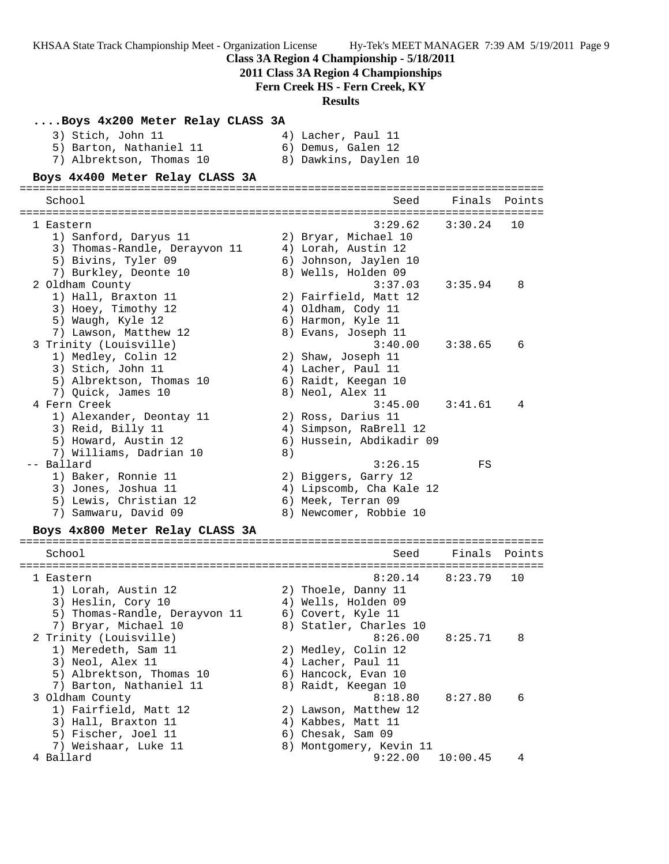KHSAA State Track Championship Meet - Organization License Hy-Tek's MEET MANAGER 7:39 AM 5/19/2011 Page 9 **Class 3A Region 4 Championship - 5/18/2011 2011 Class 3A Region 4 Championships Fern Creek HS - Fern Creek, KY Results ....Boys 4x200 Meter Relay CLASS 3A** 3) Stich, John 11 4) Lacher, Paul 11 5) Barton, Nathaniel 11 (6) Demus, Galen 12 7) Albrektson, Thomas 10 8) Dawkins, Daylen 10 **Boys 4x400 Meter Relay CLASS 3A** ================================================================================ School Seed Finals Points ================================================================================ 1 Eastern 3:29.62 3:30.24 10 1) Sanford, Daryus 11 2) Bryar, Michael 10 3) Thomas-Randle, Derayvon 11 4) Lorah, Austin 12 5) Bivins, Tyler 09 6) Johnson, Jaylen 10 7) Burkley, Deonte 10  $\hskip 1.5cm 8)$  Wells, Holden 09 2 Oldham County 3:37.03 3:35.94 8 1) Hall, Braxton 11 2) Fairfield, Matt 12 3) Hoey, Timothy 12 (4) Oldham, Cody 11 5) Waugh, Kyle 12 6) Harmon, Kyle 11 7) Lawson, Matthew 12 8) Evans, Joseph 11 3 Trinity (Louisville) 3:40.00 3:38.65 6 1) Medley, Colin 12 2) Shaw, Joseph 11 3) Stich, John 11 4) Lacher, Paul 11 5) Albrektson, Thomas 10 (6) Raidt, Keegan 10 7) Quick, James 10 8) Neol, Alex 11 4 Fern Creek 3:45.00 3:41.61 4 1) Alexander, Deontay 11 (2) Ross, Darius 11 3) Reid, Billy 11 4) Simpson, RaBrell 12 5) Howard, Austin 12 6) Hussein, Abdikadir 09 7) Williams, Dadrian 10 8) -- Ballard 3:26.15 FS 1) Baker, Ronnie 11 2) Biggers, Garry 12 3) Jones, Joshua 11 4) Lipscomb, Cha Kale 12 5) Lewis, Christian 12  $\qquad \qquad$  6) Meek, Terran 09 7) Samwaru, David 09 8) Newcomer, Robbie 10 **Boys 4x800 Meter Relay CLASS 3A** ================================================================================ School Seed Finals Points ================================================================================ 1 Eastern 8:20.14 8:23.79 10 1) Lorah, Austin 12 2) Thoele, Danny 11 3) Heslin, Cory 10 4) Wells, Holden 09 5) Thomas-Randle, Derayvon 11 6) Covert, Kyle 11 7) Bryar, Michael 10 8) Statler, Charles 10 2 Trinity (Louisville) 8:26.00 8:25.71 8 1) Meredeth, Sam 11 2) Medley, Colin 12 3) Neol, Alex 11 4) Lacher, Paul 11 5) Albrektson, Thomas 10 6) Hancock, Evan 10 7) Barton, Nathaniel 11 and 8) Raidt, Keegan 10 3 Oldham County 8:18.80 8:27.80 6 1) Fairfield, Matt 12 2) Lawson, Matthew 12 3) Hall, Braxton 11 (4) Kabbes, Matt 11 5) Fischer, Joel 11 6) Chesak, Sam 09 7) Weishaar, Luke 11 8) Montgomery, Kevin 11 4 Ballard 9:22.00 10:00.45 4